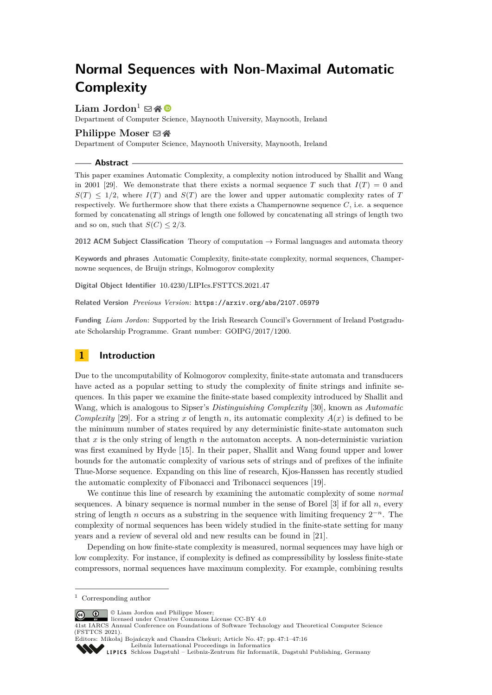# **Normal Sequences with Non-Maximal Automatic Complexity**

# Liam Jordon<sup>1</sup>  $\boxtimes \otimes$

Department of Computer Science, Maynooth University, Maynooth, Ireland

# **Philippe Moser** ⊠ n

Department of Computer Science, Maynooth University, Maynooth, Ireland

#### **Abstract**

This paper examines Automatic Complexity, a complexity notion introduced by Shallit and Wang in 2001 [\[29\]](#page-12-0). We demonstrate that there exists a normal sequence *T* such that  $I(T) = 0$  and  $S(T) \leq 1/2$ , where  $I(T)$  and  $S(T)$  are the lower and upper automatic complexity rates of *T* respectively. We furthermore show that there exists a Champernowne sequence  $C$ , i.e. a sequence formed by concatenating all strings of length one followed by concatenating all strings of length two and so on, such that  $S(C) \leq 2/3$ .

**2012 ACM Subject Classification** Theory of computation → Formal languages and automata theory

**Keywords and phrases** Automatic Complexity, finite-state complexity, normal sequences, Champernowne sequences, de Bruijn strings, Kolmogorov complexity

**Digital Object Identifier** [10.4230/LIPIcs.FSTTCS.2021.47](https://doi.org/10.4230/LIPIcs.FSTTCS.2021.47)

**Related Version** *Previous Version*: <https://arxiv.org/abs/2107.05979>

**Funding** *Liam Jordon*: Supported by the Irish Research Council's Government of Ireland Postgraduate Scholarship Programme. Grant number: GOIPG/2017/1200.

# **1 Introduction**

Due to the uncomputability of Kolmogorov complexity, finite-state automata and transducers have acted as a popular setting to study the complexity of finite strings and infinite sequences. In this paper we examine the finite-state based complexity introduced by Shallit and Wang, which is analogous to Sipser's *Distinguishing Complexity* [\[30\]](#page-12-1), known as *Automatic Complexity* [\[29\]](#page-12-0). For a string *x* of length *n*, its automatic complexity  $A(x)$  is defined to be the minimum number of states required by any deterministic finite-state automaton such that *x* is the only string of length *n* the automaton accepts. A non-deterministic variation was first examined by Hyde [\[15\]](#page-11-0). In their paper, Shallit and Wang found upper and lower bounds for the automatic complexity of various sets of strings and of prefixes of the infinite Thue-Morse sequence. Expanding on this line of research, Kjos-Hanssen has recently studied the automatic complexity of Fibonacci and Tribonacci sequences [\[19\]](#page-11-1).

We continue this line of research by examining the automatic complexity of some *normal* sequences. A binary sequence is normal number in the sense of Borel [\[3\]](#page-11-2) if for all *n*, every string of length *n* occurs as a substring in the sequence with limiting frequency  $2^{-n}$ . The complexity of normal sequences has been widely studied in the finite-state setting for many years and a review of several old and new results can be found in [\[21\]](#page-11-3).

Depending on how finite-state complexity is measured, normal sequences may have high or low complexity. For instance, if complexity is defined as compressibility by lossless finite-state compressors, normal sequences have maximum complexity. For example, combining results

© Liam Jordon and Philippe Moser;  $\circ$   $\circ$ 

licensed under Creative Commons License CC-BY 4.0

Editors: Mikołaj Bojańczyk and Chandra Chekuri; Article No. 47; pp. 47:1–47:16 [Leibniz International Proceedings in Informatics](https://www.dagstuhl.de/lipics/) **SSS** 

[Schloss Dagstuhl – Leibniz-Zentrum für Informatik, Dagstuhl Publishing, Germany](https://www.dagstuhl.de)

<sup>1</sup> Corresponding author

<sup>41</sup>st IARCS Annual Conference on Foundations of Software Technology and Theoretical Computer Science (FSTTCS 2021).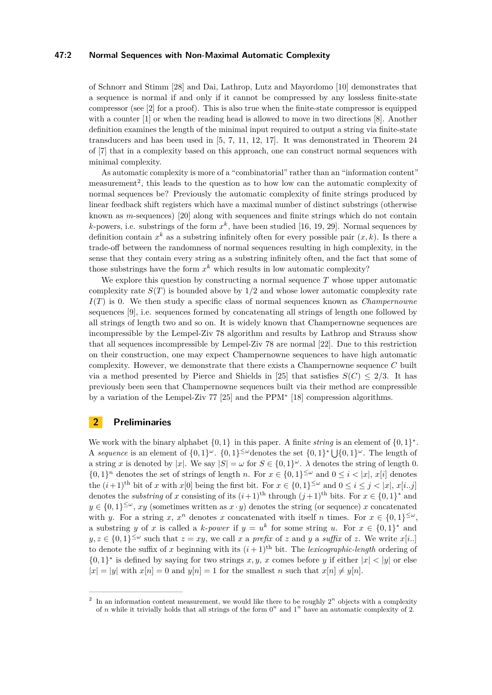### **47:2 Normal Sequences with Non-Maximal Automatic Complexity**

of Schnorr and Stimm [\[28\]](#page-12-2) and Dai, Lathrop, Lutz and Mayordomo [\[10\]](#page-11-4) demonstrates that a sequence is normal if and only if it cannot be compressed by any lossless finite-state compressor (see [\[2\]](#page-11-5) for a proof). This is also true when the finite-state compressor is equipped with a counter [\[1\]](#page-11-6) or when the reading head is allowed to move in two directions [\[8\]](#page-11-7). Another definition examines the length of the minimal input required to output a string via finite-state transducers and has been used in [\[5,](#page-11-8) [7,](#page-11-9) [11,](#page-11-10) [12,](#page-11-11) [17\]](#page-11-12). It was demonstrated in Theorem 24 of [\[7\]](#page-11-9) that in a complexity based on this approach, one can construct normal sequences with minimal complexity.

As automatic complexity is more of a "combinatorial" rather than an "information content" measurement<sup>[2](#page-1-0)</sup>, this leads to the question as to how low can the automatic complexity of normal sequences be? Previously the automatic complexity of finite strings produced by linear feedback shift registers which have a maximal number of distinct substrings (otherwise known as *m*-sequences) [\[20\]](#page-11-13) along with sequences and finite strings which do not contain *k*-powers, i.e. substrings of the form  $x^k$ , have been studied [\[16,](#page-11-14) [19,](#page-11-1) [29\]](#page-12-0). Normal sequences by definition contain  $x^k$  as a substring infinitely often for every possible pair  $(x, k)$ . Is there a trade-off between the randomness of normal sequences resulting in high complexity, in the sense that they contain every string as a substring infinitely often, and the fact that some of those substrings have the form  $x^k$  which results in low automatic complexity?

We explore this question by constructing a normal sequence *T* whose upper automatic complexity rate  $S(T)$  is bounded above by  $1/2$  and whose lower automatic complexity rate *I*(*T*) is 0. We then study a specific class of normal sequences known as *Champernowne* sequences [\[9\]](#page-11-15), i.e. sequences formed by concatenating all strings of length one followed by all strings of length two and so on. It is widely known that Champernowne sequences are incompressible by the Lempel-Ziv 78 algorithm and results by Lathrop and Strauss show that all sequences incompressible by Lempel-Ziv 78 are normal [\[22\]](#page-12-3). Due to this restriction on their construction, one may expect Champernowne sequences to have high automatic complexity. However, we demonstrate that there exists a Champernowne sequence *C* built via a method presented by Pierce and Shields in [\[25\]](#page-12-4) that satisfies  $S(C) \leq 2/3$ . It has previously been seen that Champernowne sequences built via their method are compressible by a variation of the Lempel-Ziv 77 [\[25\]](#page-12-4) and the PPM<sup>∗</sup> [\[18\]](#page-11-16) compression algorithms.

# **2 Preliminaries**

We work with the binary alphabet  $\{0,1\}$  in this paper. A finite *string* is an element of  $\{0,1\}^*$ . A *sequence* is an element of  $\{0,1\}^\omega$ .  $\{0,1\}^{\leq \omega}$  denotes the set  $\{0,1\}^* \bigcup \{0,1\}^\omega$ . The length of a string *x* is denoted by |*x*|. We say  $|S| = \omega$  for  $S \in \{0,1\}^{\omega}$ .  $\lambda$  denotes the string of length 0.  $\{0,1\}^n$  denotes the set of strings of length *n*. For  $x \in \{0,1\}^{\leq \omega}$  and  $0 \leq i < |x|, x[i]$  denotes the  $(i+1)$ <sup>th</sup> bit of *x* with *x*[0] being the first bit. For  $x \in \{0,1\}^{\leq \omega}$  and  $0 \leq i \leq j < |x|, x[i..j]$ denotes the *substring* of *x* consisting of its  $(i+1)$ <sup>th</sup> through  $(j+1)$ <sup>th</sup> bits. For  $x \in \{0,1\}^*$  and  $y \in \{0,1\}^{\leq \omega}, xy$  (sometimes written as  $x \cdot y$ ) denotes the string (or sequence) *x* concatenated with *y*. For a string *x*,  $x^n$  denotes *x* concatenated with itself *n* times. For  $x \in \{0,1\}^{\leq \omega}$ , a substring *y* of *x* is called a *k*-*power* if  $y = u^k$  for some string *u*. For  $x \in \{0,1\}^*$  and  $y, z \in \{0, 1\}^{\leq \omega}$  such that  $z = xy$ , we call *x* a *prefix* of *z* and *y* a *suffix* of *z*. We write  $x[i..]$ to denote the suffix of x beginning with its  $(i+1)$ <sup>th</sup> bit. The *lexicographic-length* ordering of  $\{0,1\}^*$  is defined by saying for two strings *x, y, x* comes before *y* if either  $|x| < |y|$  or else  $|x| = |y|$  with  $x[n] = 0$  and  $y[n] = 1$  for the smallest *n* such that  $x[n] \neq y[n]$ .

<span id="page-1-0"></span><sup>2</sup> In an information content measurement, we would like there to be roughly  $2^n$  objects with a complexity of *n* while it trivially holds that all strings of the form  $0^n$  and  $1^n$  have an automatic complexity of 2.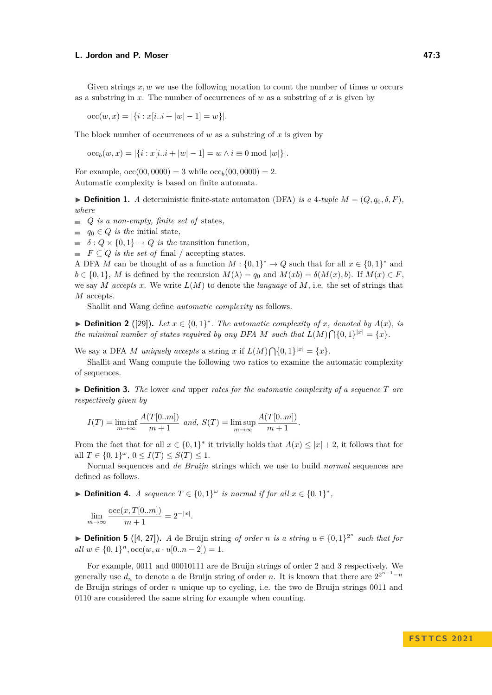Given strings *x, w* we use the following notation to count the number of times *w* occurs as a substring in *x*. The number of occurrences of *w* as a substring of *x* is given by

 $\mathrm{occ}(w, x) = |\{i : x[i..i + |w| - 1] = w\}|.$ 

The block number of occurrences of *w* as a substring of *x* is given by

 $\mathrm{occ}_b(w, x) = |\{i : x[i..i + |w| - 1] = w \land i \equiv 0 \bmod |w|\}|.$ 

For example,  $\text{occ}(00,0000) = 3$  while  $\text{occ}_b(00,0000) = 2$ . Automatic complexity is based on finite automata.

 $\blacktriangleright$  **Definition 1.** *A* deterministic finite-state automaton (DFA) *is a* 4*-tuple*  $M = (Q, q_0, \delta, F)$ , *where*

 $Q$  *is a non-empty, finite set of states,* 

 $q_0 \in Q$  *is the* initial state,

 $\delta$  :  $Q \times \{0, 1\} \rightarrow Q$  *is the* transition function,

 $\blacksquare$  *F*  $\subseteq$  *Q is the set of* final / accepting states.

A DFA *M* can be thought of as a function  $M: \{0,1\}^* \to Q$  such that for all  $x \in \{0,1\}^*$  and  $b \in \{0,1\}$ , *M* is defined by the recursion  $M(\lambda) = q_0$  and  $M(xb) = \delta(M(x), b)$ . If  $M(x) \in F$ , we say *M* accepts *x*. We write  $L(M)$  to denote the *language* of *M*, i.e. the set of strings that *M* accepts.

Shallit and Wang define *automatic complexity* as follows.

▶ **Definition 2** ([\[29\]](#page-12-0)). Let  $x \in \{0, 1\}^*$ . The automatic complexity of  $x$ *, denoted by*  $A(x)$ *, is the minimal number of states required by any DFA M such that*  $L(M) \bigcap \{0,1\}^{|x|} = \{x\}.$ 

We say a DFA *M uniquely accepts* a string *x* if  $L(M) \bigcap \{0,1\}^{|x|} = \{x\}.$ 

Shallit and Wang compute the following two ratios to examine the automatic complexity of sequences.

▶ **Definition 3.** *The* lower *and* upper *rates for the automatic complexity of a sequence T are respectively given by*

$$
I(T) = \liminf_{m \to \infty} \frac{A(T[0..m])}{m+1} \text{ and, } S(T) = \limsup_{m \to \infty} \frac{A(T[0..m])}{m+1}.
$$

From the fact that for all  $x \in \{0,1\}^*$  it trivially holds that  $A(x) \leq |x| + 2$ , it follows that for  $\text{all } T \in \{0, 1\}^{\omega}, 0 \le I(T) \le S(T) \le 1.$ 

Normal sequences and *de Bruijn* strings which we use to build *normal* sequences are defined as follows.

▶ **Definition 4.** *A sequence*  $T \in \{0, 1\}^\omega$  *is normal if for all*  $x \in \{0, 1\}^*$ ,

$$
\lim_{m \to \infty} \frac{\text{occ}(x, T[0..m])}{m+1} = 2^{-|x|}.
$$

▶ **Definition 5** ([\[4,](#page-11-17) [27\]](#page-12-5)). *A* de Bruijn string *of order n is a string*  $u \in \{0,1\}^{2^n}$  *such that for*  $all \ w \in \{0,1\}^n, \text{occ}(w, u \cdot u[0..n-2]) = 1.$ 

For example, 0011 and 00010111 are de Bruijn strings of order 2 and 3 respectively. We generally use  $d_n$  to denote a de Bruijn string of order *n*. It is known that there are  $2^{2^{n-1}-n}$ de Bruijn strings of order *n* unique up to cycling, i.e. the two de Bruijn strings 0011 and 0110 are considered the same string for example when counting.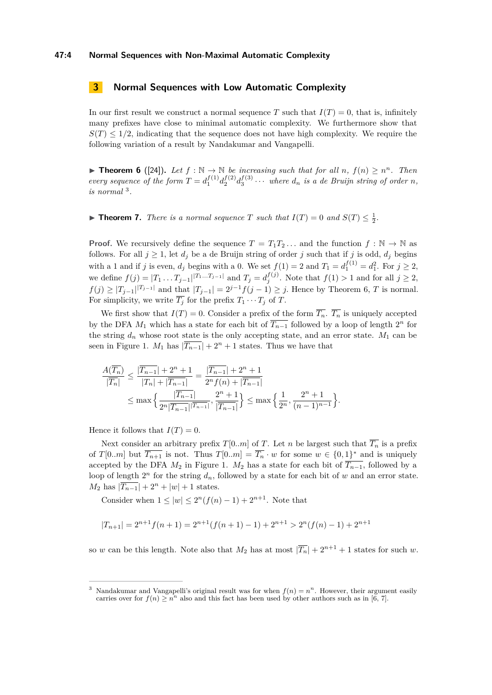### **47:4 Normal Sequences with Non-Maximal Automatic Complexity**

# **3 Normal Sequences with Low Automatic Complexity**

In our first result we construct a normal sequence *T* such that  $I(T) = 0$ , that is, infinitely many prefixes have close to minimal automatic complexity. We furthermore show that  $S(T) \leq 1/2$ , indicating that the sequence does not have high complexity. We require the following variation of a result by Nandakumar and Vangapelli.

<span id="page-3-1"></span>▶ **Theorem 6** ([\[24\]](#page-12-6)). Let  $f : \mathbb{N} \to \mathbb{N}$  be increasing such that for all  $n, f(n) \geq n^n$ . Then *every sequence of the form*  $T = d_1^{f(1)} d_2^{f(2)} d_3^{f(3)} \cdots$  *where*  $d_n$  *is a de Bruijn string of order n, is normal* [3](#page-3-0) *.*

<span id="page-3-2"></span>▶ **Theorem 7.** *There is a normal sequence T such that*  $I(T) = 0$  *and*  $S(T) \leq \frac{1}{2}$ *.* 

**Proof.** We recursively define the sequence  $T = T_1 T_2 \dots$  and the function  $f : \mathbb{N} \to \mathbb{N}$  as follows. For all  $j \geq 1$ , let  $d_j$  be a de Bruijn string of order *j* such that if *j* is odd,  $d_j$  begins with a 1 and if *j* is even,  $d_j$  begins with a 0. We set  $f(1) = 2$  and  $T_1 = d_1^{f(1)} = d_1^2$ . For  $j \ge 2$ , we define  $f(j) = |T_1 \dots T_{j-1}|^{|T_1 \dots T_{j-1}|}$  and  $T_j = d_j^{f(j)}$ . Note that  $f(1) > 1$  and for all  $j ≥ 2$ , *f*(*j*) ≥  $|T_{j-1}|^{T_{j-1}}|$  and that  $|T_{j-1}| = 2^{j-1} f(j-1) \geq j$ . Hence by Theorem [6,](#page-3-1) *T* is normal. For simplicity, we write  $\overline{T_i}$  for the prefix  $T_1 \cdots T_j$  of  $T$ .

We first show that  $I(T) = 0$ . Consider a prefix of the form  $\overline{T_n}$ .  $\overline{T_n}$  is uniquely accepted by the DFA  $M_1$  which has a state for each bit of  $\overline{T_{n-1}}$  followed by a loop of length  $2^n$  for the string  $d_n$  whose root state is the only accepting state, and an error state.  $M_1$  can be seen in Figure [1.](#page-4-0) *M*<sub>1</sub> has  $|T_{n-1}| + 2^n + 1$  states. Thus we have that

$$
\frac{A(\overline{T_n})}{|\overline{T_n}|} \le \frac{|\overline{T_{n-1}}| + 2^n + 1}{|\overline{T_n}| + |\overline{T_{n-1}}|} = \frac{|\overline{T_{n-1}}| + 2^n + 1}{2^n f(n) + |\overline{T_{n-1}}|} \le \max\left\{\frac{|\overline{T_{n-1}}|}{2^n |\overline{T_{n-1}}| + |\overline{T_{n-1}}|}, \frac{2^n + 1}{|\overline{T_{n-1}}|}\right\} \le \max\left\{\frac{1}{2^n}, \frac{2^n + 1}{(n-1)^{n-1}}\right\}.
$$

Hence it follows that  $I(T) = 0$ .

Next consider an arbitrary prefix  $T[0..m]$  of *T*. Let *n* be largest such that  $\overline{T_n}$  is a prefix of *T*[0*.m*] but  $\overline{T_{n+1}}$  is not. Thus  $T[0..m] = \overline{T_n} \cdot w$  for some  $w \in \{0,1\}^*$  and is uniquely accepted by the DFA  $M_2$  in Figure [1.](#page-4-0)  $M_2$  has a state for each bit of  $\overline{T_{n-1}}$ , followed by a loop of length  $2^n$  for the string  $d_n$ , followed by a state for each bit of  $w$  and an error state.  $M_2$  has  $|\overline{T_{n-1}}| + 2^n + |w| + 1$  states.

Consider when  $1 \le |w| \le 2^n(f(n)-1) + 2^{n+1}$ . Note that

$$
|T_{n+1}| = 2^{n+1}f(n+1) = 2^{n+1}(f(n+1)-1) + 2^{n+1} > 2^n(f(n)-1) + 2^{n+1}
$$

so *w* can be this length. Note also that  $M_2$  has at most  $|\overline{T_n}| + 2^{n+1} + 1$  states for such *w*.

<span id="page-3-0"></span><sup>&</sup>lt;sup>3</sup> Nandakumar and Vangapelli's original result was for when  $f(n) = n<sup>n</sup>$ . However, their argument easily carries over for  $f(n) \geq n^n$  also and this fact has been used by other authors such as in [\[6,](#page-11-18) [7\]](#page-11-9).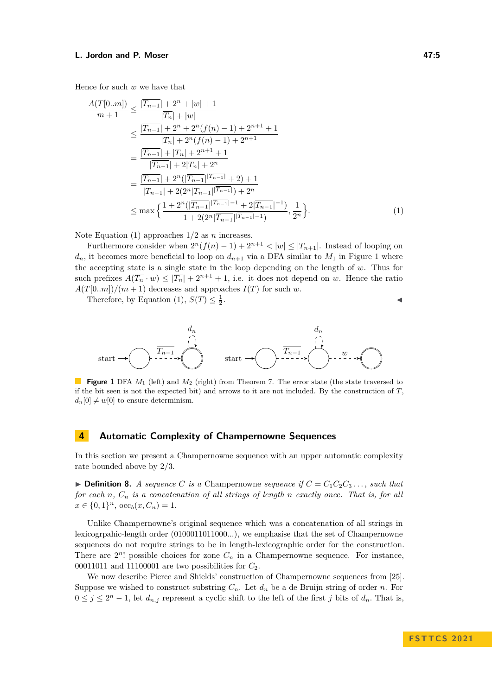Hence for such *w* we have that

$$
\frac{A(T[0..m])}{m+1} \le \frac{|T_{n-1}| + 2^n + |w| + 1}{|\overline{T_n}| + |w|}
$$
\n
$$
\le \frac{|\overline{T_{n-1}}| + 2^n + 2^n(f(n) - 1) + 2^{n+1} + 1}{|\overline{T_n}| + 2^n(f(n) - 1) + 2^{n+1}}
$$
\n
$$
= \frac{|\overline{T_{n-1}}| + |\overline{T_n}| + 2^{n+1} + 1}{|\overline{T_{n-1}}| + 2|\overline{T_n}| + 2^n}
$$
\n
$$
= \frac{|\overline{T_{n-1}}| + 2^n(\overline{|T_{n-1}|}|\overline{T_{n-1}}| + 2) + 1}{|\overline{T_{n-1}}| + 2(2^n|\overline{T_{n-1}}| |\overline{T_{n-1}}|) + 2^n}
$$
\n
$$
\le \max \left\{ \frac{1 + 2^n(|\overline{T_{n-1}}|^{|\overline{T_{n-1}}| - 1} + 2|\overline{T_{n-1}}|^{-1})}{1 + 2(2^n|\overline{T_{n-1}}|^{|\overline{T_{n-1}}| - 1})}, \frac{1}{2^n} \right\}.
$$
\n(1)

Note Equation [\(1\)](#page-4-1) approaches 1*/*2 as *n* increases.

Furthermore consider when  $2^{n}(f(n) - 1) + 2^{n+1} < |w| \leq |T_{n+1}|$ . Instead of looping on  $d_n$ , it becomes more beneficial to loop on  $d_{n+1}$  via a DFA similar to  $M_1$  in Figure [1](#page-4-0) where the accepting state is a single state in the loop depending on the length of *w*. Thus for such prefixes  $A(\overline{T_n} \cdot w) \leq |\overline{T_n}| + 2^{n+1} + 1$ , i.e. it does not depend on *w*. Hence the ratio  $A(T[0..m])/(m+1)$  decreases and approaches  $I(T)$  for such *w*.

Therefore, by Equation [\(1\)](#page-4-1),  $S(T) \leq \frac{1}{2}$ 

<span id="page-4-1"></span>
$$
1 \leq i \leq n-1
$$

<span id="page-4-0"></span>

**Figure 1** DFA  $M_1$  (left) and  $M_2$  (right) from Theorem [7.](#page-3-2) The error state (the state traversed to if the bit seen is not the expected bit) and arrows to it are not included. By the construction of *T*,  $d_n[0] \neq w[0]$  to ensure determinism.

# **4 Automatic Complexity of Champernowne Sequences**

In this section we present a Champernowne sequence with an upper automatic complexity rate bounded above by 2*/*3.

 $\triangleright$  **Definition 8.** *A sequence C is a* Champernowne *sequence if*  $C = C_1 C_2 C_3 \dots$ , *such that for each n, C<sup>n</sup> is a concatenation of all strings of length n exactly once. That is, for all*  $x \in \{0, 1\}^n$ ,  $\mathrm{occ}_b(x, C_n) = 1$ .

Unlike Champernowne's original sequence which was a concatenation of all strings in lexicogrpahic-length order (0100011011000*...*), we emphasise that the set of Champernowne sequences do not require strings to be in length-lexicographic order for the construction. There are  $2^n!$  possible choices for zone  $C_n$  in a Champernowne sequence. For instance, 00011011 and 11100001 are two possibilities for  $C_2$ .

We now describe Pierce and Shields' construction of Champernowne sequences from [\[25\]](#page-12-4). Suppose we wished to construct substring  $C_n$ . Let  $d_n$  be a de Bruijn string of order *n*. For  $0 \leq j \leq 2^{n} - 1$ , let  $d_{n,j}$  represent a cyclic shift to the left of the first *j* bits of  $d_n$ . That is,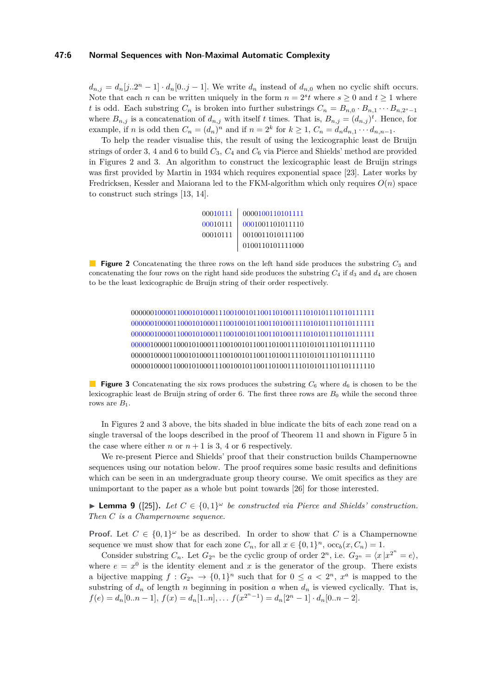#### **47:6 Normal Sequences with Non-Maximal Automatic Complexity**

 $d_{n,j} = d_n[j..2^n - 1] \cdot d_n[0..j - 1]$ . We write  $d_n$  instead of  $d_{n,0}$  when no cyclic shift occurs. Note that each *n* can be written uniquely in the form  $n = 2<sup>s</sup> t$  where  $s \geq 0$  and  $t \geq 1$  where *t* is odd. Each substring  $C_n$  is broken into further substrings  $C_n = B_{n,0} \cdot B_{n,1} \cdots B_{n,2^s-1}$ where  $B_{n,j}$  is a concatenation of  $d_{n,j}$  with itself *t* times. That is,  $B_{n,j} = (d_{n,j})^t$ . Hence, for example, if *n* is odd then  $C_n = (d_n)^n$  and if  $n = 2^k$  for  $k \ge 1$ ,  $C_n = d_n d_{n,1} \cdots d_{n,n-1}$ .

To help the reader visualise this, the result of using the lexicographic least de Bruijn strings of order 3*,* 4 and 6 to build *C*3*, C*<sup>4</sup> and *C*<sup>6</sup> via Pierce and Shields' method are provided in Figures [2](#page-5-0) and [3.](#page-5-1) An algorithm to construct the lexicographic least de Bruijn strings was first provided by Martin in 1934 which requires exponential space [\[23\]](#page-12-7). Later works by Fredricksen, Kessler and Maiorana led to the FKM-algorithm which only requires *O*(*n*) space to construct such strings [\[13,](#page-11-19) [14\]](#page-11-20).

| 00010111 | 0000100110101111         |
|----------|--------------------------|
| 00010111 | 0001001101011110         |
| 00010111 | 0010011010111100         |
|          | ${\tt 0100110101111000}$ |

<span id="page-5-1"></span><span id="page-5-0"></span>**Figure 2** Concatenating the three rows on the left hand side produces the substring  $C_3$  and concatenating the four rows on the right hand side produces the substring  $C_4$  if  $d_3$  and  $d_4$  are chosen to be the least lexicographic de Bruijn string of their order respectively.

> 0000001000011000101000111001001011001101001111010101110110111111 0000001000011000101000111001001011001101001111010101110110111111 0000001000011000101000111001001011001101001111010101110110111111 0000010000110001010001110010010110011010011110101011101101111110 0000010000110001010001110010010110011010011110101011101101111110 0000010000110001010001110010010110011010011110101011101101111110

**Figure 3** Concatenating the six rows produces the substring  $C_6$  where  $d_6$  is chosen to be the lexicographic least de Bruijn string of order 6. The first three rows are *B*<sup>0</sup> while the second three rows are  $B_1$ .

In Figures [2](#page-5-0) and [3](#page-5-1) above, the bits shaded in blue indicate the bits of each zone read on a single traversal of the loops described in the proof of Theorem [11](#page-6-0) and shown in Figure [5](#page-10-0) in the case where either *n* or  $n + 1$  is 3, 4 or 6 respectively.

We re-present Pierce and Shields' proof that their construction builds Champernowne sequences using our notation below. The proof requires some basic results and definitions which can be seen in an undergraduate group theory course. We omit specifics as they are unimportant to the paper as a whole but point towards [\[26\]](#page-12-8) for those interested.

**Example 9** ([\[25\]](#page-12-4)). Let  $C \in \{0,1\}^\omega$  be constructed via Pierce and Shields' construction. *Then C is a Champernowne sequence.*

**Proof.** Let  $C \in \{0,1\}^\omega$  be as described. In order to show that *C* is a Champernowne sequence we must show that for each zone  $C_n$ , for all  $x \in \{0,1\}^n$ ,  $\operatorname{occ}_b(x, C_n) = 1$ .

Consider substring  $C_n$ . Let  $G_{2^n}$  be the cyclic group of order  $2^n$ , i.e.  $G_{2^n} = \langle x | x^{2^n} = e \rangle$ , where  $e = x^0$  is the identity element and x is the generator of the group. There exists a bijective mapping  $f: G_{2^n} \to \{0,1\}^n$  such that for  $0 \le a < 2^n$ ,  $x^a$  is mapped to the substring of  $d_n$  of length *n* beginning in position *a* when  $d_n$  is viewed cyclically. That is,  $f(e) = d_n[0..n-1],$   $f(x) = d_n[1..n],$   $f(x^{2^n-1}) = d_n[2^n-1] \cdot d_n[0..n-2].$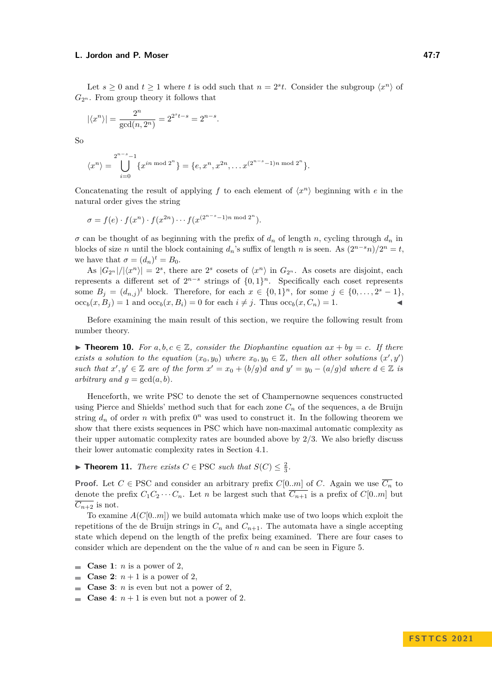Let  $s \geq 0$  and  $t \geq 1$  where *t* is odd such that  $n = 2<sup>s</sup>t$ . Consider the subgroup  $\langle x^n \rangle$  of  $G_{2^n}$ . From group theory it follows that

$$
|\langle x^n \rangle|
$$
 =  $\frac{2^n}{\gcd(n, 2^n)} = 2^{2^s t - s} = 2^{n-s}.$ 

So

$$
\langle x^n \rangle = \bigcup_{i=0}^{2^{n-s}-1} \{x^{in \bmod 2^n}\} = \{e, x^n, x^{2n}, \dots x^{(2^{n-s}-1)n \bmod 2^n}\}.
$$

Concatenating the result of applying  $f$  to each element of  $\langle x^n \rangle$  beginning with  $e$  in the natural order gives the string

$$
\sigma = f(e) \cdot f(x^n) \cdot f(x^{2n}) \cdots f(x^{(2^{n-s}-1)n \bmod 2^n}).
$$

 $\sigma$  can be thought of as beginning with the prefix of  $d_n$  of length *n*, cycling through  $d_n$  in blocks of size *n* until the block containing  $d_n$ 's suffix of length *n* is seen. As  $(2^{n-s}n)/2^n = t$ , we have that  $\sigma = (d_n)^t = B_0$ .

As  $|G_{2^n}|/|\langle x^n \rangle| = 2^s$ , there are  $2^s$  cosets of  $\langle x^n \rangle$  in  $G_{2^n}$ . As cosets are disjoint, each represents a different set of  $2^{n-s}$  strings of  $\{0,1\}^n$ . Specifically each coset represents some  $B_j = (d_{n,j})^t$  block. Therefore, for each  $x \in \{0,1\}^n$ , for some  $j \in \{0,\ldots,2^s-1\}$ ,  $\operatorname{occ}_b(x, B_i) = 1$  and  $\operatorname{occ}_b(x, B_i) = 0$  for each  $i \neq j$ . Thus  $\operatorname{occ}_b(x, C_n) = 1$ .

Before examining the main result of this section, we require the following result from number theory.

<span id="page-6-1"></span>▶ **Theorem 10.** For  $a, b, c \in \mathbb{Z}$ , consider the Diophantine equation  $ax + by = c$ . If there *exists a solution to the equation*  $(x_0, y_0)$  *where*  $x_0, y_0 \in \mathbb{Z}$ *, then all other solutions*  $(x', y')$ *such that*  $x', y' \in \mathbb{Z}$  *are of the form*  $x' = x_0 + (b/g)d$  *and*  $y' = y_0 - (a/g)d$  *where*  $d \in \mathbb{Z}$  *is arbitrary and*  $q = \gcd(a, b)$ *.* 

Henceforth, we write PSC to denote the set of Champernowne sequences constructed using Pierce and Shields' method such that for each zone *C<sup>n</sup>* of the sequences, a de Bruijn string  $d_n$  of order *n* with prefix  $0^n$  was used to construct it. In the following theorem we show that there exists sequences in PSC which have non-maximal automatic complexity as their upper automatic complexity rates are bounded above by 2*/*3. We also briefly discuss their lower automatic complexity rates in Section [4.1.](#page-8-0)

<span id="page-6-0"></span>▶ **Theorem 11.** *There exists*  $C \in \text{PSC}$  *such that*  $S(C) \leq \frac{2}{3}$ *.* 

**Proof.** Let  $C \in \text{PSC}$  and consider an arbitrary prefix  $C[0..m]$  of *C*. Again we use  $\overline{C_n}$  to denote the prefix  $C_1C_2 \cdots C_n$ . Let *n* be largest such that  $\overline{C_{n+1}}$  is a prefix of  $C[0..m]$  but  $\overline{C_{n+2}}$  is not.

To examine *A*(*C*[0*..m*]) we build automata which make use of two loops which exploit the repetitions of the de Bruijn strings in  $C_n$  and  $C_{n+1}$ . The automata have a single accepting state which depend on the length of the prefix being examined. There are four cases to consider which are dependent on the the value of *n* and can be seen in Figure [5.](#page-10-0)

- **Case 1**: *n* is a power of 2,  $\sim$
- **Case 2:**  $n+1$  is a power of 2,  $\overline{a}$
- **Case 3**: *n* is even but not a power of 2,
- **Case 4:**  $n + 1$  is even but not a power of 2.  $\rightarrow$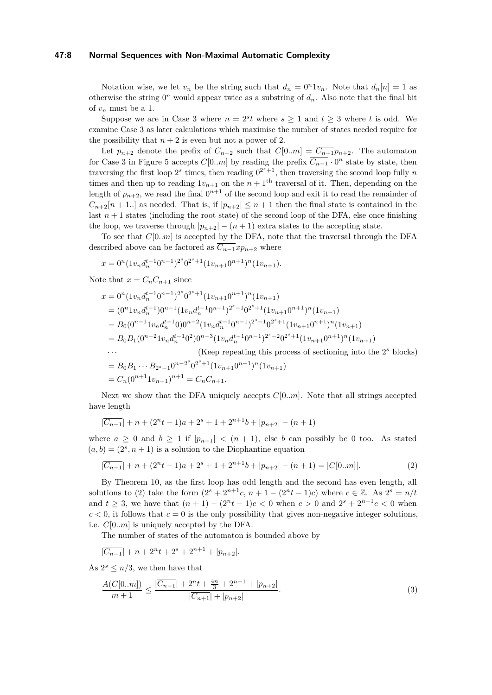# **47:8 Normal Sequences with Non-Maximal Automatic Complexity**

Notation wise, we let  $v_n$  be the string such that  $d_n = 0^n 1 v_n$ . Note that  $d_n[n] = 1$  as otherwise the string  $0^n$  would appear twice as a substring of  $d_n$ . Also note that the final bit of  $v_n$  must be a 1.

Suppose we are in Case 3 where  $n = 2<sup>s</sup>t$  where  $s \ge 1$  and  $t \ge 3$  where t is odd. We examine Case 3 as later calculations which maximise the number of states needed require for the possibility that  $n + 2$  is even but not a power of 2.

Let  $p_{n+2}$  denote the prefix of  $C_{n+2}$  such that  $C[0..m] = C_{n+1}p_{n+2}$ . The automaton for Case 3 in Figure [5](#page-10-0) accepts  $C[0..m]$  by reading the prefix  $\overline{C_{n-1}} \cdot 0^n$  state by state, then traversing the first loop  $2^s$  times, then reading  $0^{2^s+1}$ , then traversing the second loop fully *n* times and then up to reading  $1v_{n+1}$  on the  $n+1$ <sup>th</sup> traversal of it. Then, depending on the length of  $p_{n+2}$ , we read the final  $0^{n+1}$  of the second loop and exit it to read the remainder of  $C_{n+2}[n+1..]$  as needed. That is, if  $|p_{n+2}| \leq n+1$  then the final state is contained in the last  $n+1$  states (including the root state) of the second loop of the DFA, else once finishing the loop, we traverse through  $|p_{n+2}| - (n+1)$  extra states to the accepting state.

To see that *C*[0*..m*] is accepted by the DFA, note that the traversal through the DFA described above can be factored as  $\overline{C_{n-1}}xp_{n+2}$  where

$$
x = 0^{n} (1v_n d_n^{t-1} 0^{n-1})^{2^s} 0^{2^s+1} (1v_{n+1} 0^{n+1})^n (1v_{n+1}).
$$

Note that  $x = C_n C_{n+1}$  since

$$
x = 0^{n} (1v_n d_n^{t-1} 0^{n-1})^{2^s} 0^{2^s+1} (1v_{n+1} 0^{n+1})^n (1v_{n+1})
$$
  
\n
$$
= (0^{n} 1v_n d_n^{t-1}) 0^{n-1} (1v_n d_n^{t-1} 0^{n-1})^{2^s-1} 0^{2^s+1} (1v_{n+1} 0^{n+1})^n (1v_{n+1})
$$
  
\n
$$
= B_0 (0^{n-1} 1v_n d_n^{t-1} 0) 0^{n-2} (1v_n d_n^{t-1} 0^{n-1})^{2^s-1} 0^{2^s+1} (1v_{n+1} 0^{n+1})^n (1v_{n+1})
$$
  
\n
$$
= B_0 B_1 (0^{n-2} 1v_n d_n^{t-1} 0^2) 0^{n-3} (1v_n d_n^{t-1} 0^{n-1})^{2^s-2} 0^{2^s+1} (1v_{n+1} 0^{n+1})^n (1v_{n+1})
$$
  
\n... (Keep repeating this process of sectioning into the 2<sup>s</sup> blocks)  
\n
$$
= B_0 B_1 \cdots B_{2^s-1} 0^{n-2^s} 0^{2^s+1} (1v_{n+1} 0^{n+1})^n (1v_{n+1})
$$
  
\n
$$
= C_n (0^{n+1} 1v_{n+1})^{n+1} = C_n C_{n+1}.
$$

Next we show that the DFA uniquely accepts *C*[0*..m*]. Note that all strings accepted have length

$$
|\overline{C_{n-1}}| + n + (2^n t - 1)a + 2^s + 1 + 2^{n+1}b + |p_{n+2}| - (n+1)
$$

where  $a \geq 0$  and  $b \geq 1$  if  $|p_{n+1}| < (n+1)$ , else *b* can possibly be 0 too. As stated  $(a, b) = (2<sup>s</sup>, n + 1)$  is a solution to the Diophantine equation

<span id="page-7-0"></span>
$$
|\overline{C_{n-1}}| + n + (2^n t - 1)a + 2^s + 1 + 2^{n+1}b + |p_{n+2}| - (n+1) = |C[0..m]|.
$$
\n(2)

By Theorem [10,](#page-6-1) as the first loop has odd length and the second has even length, all solutions to [\(2\)](#page-7-0) take the form  $(2^{s} + 2^{n+1}c, n+1 - (2^{n}t-1)c)$  where  $c \in \mathbb{Z}$ . As  $2^{s} = n/t$ and  $t \geq 3$ , we have that  $(n + 1) - (2^n t - 1)c < 0$  when  $c > 0$  and  $2^s + 2^{n+1}c < 0$  when  $c < 0$ , it follows that  $c = 0$  is the only possibility that gives non-negative integer solutions, i.e. *C*[0*..m*] is uniquely accepted by the DFA.

The number of states of the automaton is bounded above by

$$
|\overline{C_{n-1}}| + n + 2^n t + 2^s + 2^{n+1} + |p_{n+2}|.
$$

As  $2^s \leq n/3$ , we then have that

$$
\frac{A(C[0..m])}{m+1} \le \frac{|\overline{C_{n-1}}| + 2^n t + \frac{4n}{3} + 2^{n+1} + |p_{n+2}|}{|\overline{C_{n+1}}| + |p_{n+2}|}.
$$
\n(3)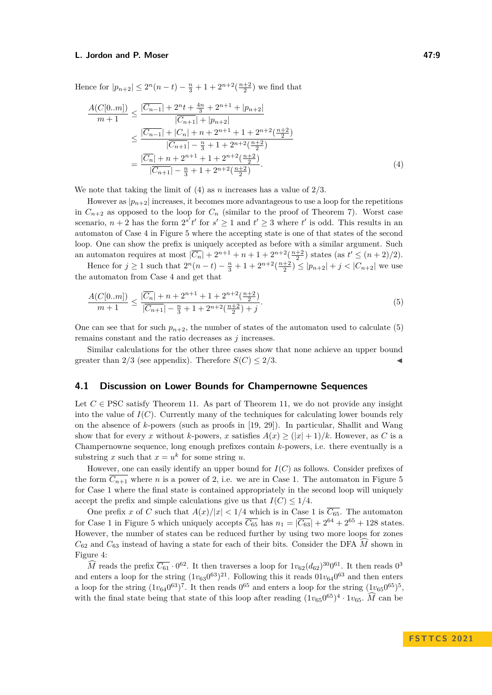Hence for  $|p_{n+2}| \leq 2^n(n-t) - \frac{n}{3} + 1 + 2^{n+2}(\frac{n+2}{2})$  we find that

<span id="page-8-1"></span>
$$
\frac{A(C[0..m])}{m+1} \le \frac{|\overline{C_{n-1}}| + 2^n t + \frac{4n}{3} + 2^{n+1} + |p_{n+2}|}{|\overline{C_{n+1}}| + |p_{n+2}|}
$$
\n
$$
\le \frac{|\overline{C_{n-1}}| + |C_n| + n + 2^{n+1} + 1 + 2^{n+2}(\frac{n+2}{2})}{|\overline{C_{n+1}}| - \frac{n}{3} + 1 + 2^{n+2}(\frac{n+2}{2})}
$$
\n
$$
= \frac{|\overline{C_n}| + n + 2^{n+1} + 1 + 2^{n+2}(\frac{n+2}{2})}{|\overline{C_{n+1}}| - \frac{n}{3} + 1 + 2^{n+2}(\frac{n+2}{2})}.
$$
\n(4)

We note that taking the limit of [\(4\)](#page-8-1) as *n* increases has a value of 2*/*3*.*

However as  $|p_{n+2}|$  increases, it becomes more advantageous to use a loop for the repetitions in  $C_{n+2}$  as opposed to the loop for  $C_n$  (similar to the proof of Theorem [7\)](#page-3-2). Worst case scenario,  $n + 2$  has the form  $2^{s'}t'$  for  $s' \ge 1$  and  $t' \ge 3$  where  $t'$  is odd. This results in an automaton of Case 4 in Figure [5](#page-10-0) where the accepting state is one of that states of the second loop. One can show the prefix is uniquely accepted as before with a similar argument. Such an automaton requires at most  $|\overline{C_n}| + 2^{n+1} + n + 1 + 2^{n+2}(\frac{n+2}{2})$  states (as  $t' \le (n+2)/2$ ).

Hence for *j* ≥ 1 such that  $2^n(n - t) - \frac{n}{3} + 1 + 2^{n+2}(\frac{n+2}{2}) \le |p_{n+2}| + j < |C_{n+2}|$  we use the automaton from Case 4 and get that

<span id="page-8-2"></span>
$$
\frac{A(C[0..m])}{m+1} \le \frac{|\overline{C_n}| + n + 2^{n+1} + 1 + 2^{n+2}(\frac{n+2}{2})}{|\overline{C_{n+1}}| - \frac{n}{3} + 1 + 2^{n+2}(\frac{n+2}{2}) + j}.
$$
\n(5)

One can see that for such  $p_{n+2}$ , the number of states of the automaton used to calculate [\(5\)](#page-8-2) remains constant and the ratio decreases as *j* increases.

Similar calculations for the other three cases show that none achieve an upper bound greater than 2/3 (see appendix). Therefore  $S(C) \leq 2/3$ .

# <span id="page-8-0"></span>**4.1 Discussion on Lower Bounds for Champernowne Sequences**

Let  $C \in \text{PSC satisfy Theorem 11. As part of Theorem 11, we do not provide any insight.}$  $C \in \text{PSC satisfy Theorem 11. As part of Theorem 11, we do not provide any insight.}$  $C \in \text{PSC satisfy Theorem 11. As part of Theorem 11, we do not provide any insight.}$  $C \in \text{PSC satisfy Theorem 11. As part of Theorem 11, we do not provide any insight.}$  $C \in \text{PSC satisfy Theorem 11. As part of Theorem 11, we do not provide any insight.}$ into the value of  $I(C)$ . Currently many of the techniques for calculating lower bounds rely on the absence of *k*-powers (such as proofs in [\[19,](#page-11-1) [29\]](#page-12-0)). In particular, Shallit and Wang show that for every *x* without *k*-powers, *x* satisfies  $A(x) \geq (|x| + 1)/k$ . However, as *C* is a Champernowne sequence, long enough prefixes contain *k*-powers, i.e. there eventually is a substring x such that  $x = u^k$  for some string u.

However, one can easily identify an upper bound for *I*(*C*) as follows. Consider prefixes of the form  $\overline{C_{n+1}}$  where *n* is a power of 2, i.e. we are in Case 1. The automaton in Figure [5](#page-10-0) for Case 1 where the final state is contained appropriately in the second loop will uniquely accept the prefix and simple calculations give us that  $I(C) \leq 1/4$ .

One prefix *x* of *C* such that  $A(x)/|x| < 1/4$  which is in Case 1 is  $\overline{C_{65}}$ . The automaton for Case 1 in Figure [5](#page-10-0) which uniquely accepts  $\overline{C_{65}}$  has  $n_1 = |\overline{C_{63}}| + 2^{64} + 2^{65} + 128$  states. However, the number of states can be reduced further by using two more loops for zones  $C_{62}$  and  $C_{63}$  instead of having a state for each of their bits. Consider the DFA *M* shown in Figure [4:](#page-9-0)

 $\widehat{M}$  reads the prefix  $\overline{C_{61}} \cdot 0^{62}$ . It then traverses a loop for  $1v_{62}(d_{62})^{30}0^{61}$ . It then reads  $0^3$ and enters a loop for the string  $(1v_{63}0^{63})^{21}$ . Following this it reads  $01v_{64}0^{63}$  and then enters a loop for the string  $(1v_{64}0^{63})^7$ . It then reads  $0^{65}$  and enters a loop for the string  $(1v_{65}0^{65})^5$ , with the final state being that state of this loop after reading  $(1v_{65}0^{65})^4 \cdot 1v_{65}$ .  $\widehat{M}$  can be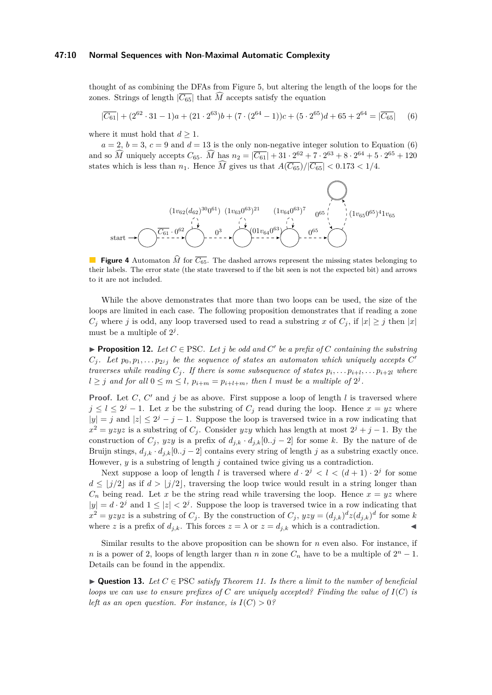#### **47:10 Normal Sequences with Non-Maximal Automatic Complexity**

thought of as combining the DFAs from Figure [5,](#page-10-0) but altering the length of the loops for the zones. Strings of length  $|\overline{C_{65}}|$  that  $\widehat{M}$  accepts satisfy the equation

<span id="page-9-1"></span>
$$
|\overline{C_{61}}| + (2^{62} \cdot 31 - 1)a + (21 \cdot 2^{63})b + (7 \cdot (2^{64} - 1))c + (5 \cdot 2^{65})d + 65 + 2^{64} = |\overline{C_{65}}|
$$
 (6)

where it must hold that  $d \geq 1$ .

 $a = 2, b = 3, c = 9$  and  $d = 13$  is the only non-negative integer solution to Equation [\(6\)](#page-9-1) and so  $\widehat{M}$  uniquely accepts  $C_{65}$ .  $\widehat{M}$  has  $n_2 = |\overline{C_{61}}| + 31 \cdot 2^{62} + 7 \cdot 2^{63} + 8 \cdot 2^{64} + 5 \cdot 2^{65} + 120$ states which is less than  $n_1$ . Hence  $\overline{M}$  gives us that  $\overline{A(C_{65})}/|\overline{C_{65}}| < 0.173 < 1/4$ .

<span id="page-9-0"></span>

**Figure 4** Automaton  $\hat{M}$  for  $\overline{C_{65}}$ . The dashed arrows represent the missing states belonging to their labels. The error state (the state traversed to if the bit seen is not the expected bit) and arrows to it are not included.

While the above demonstrates that more than two loops can be used, the size of the loops are limited in each case. The following proposition demonstrates that if reading a zone  $C_j$  where *j* is odd, any loop traversed used to read a substring *x* of  $C_j$ , if  $|x| \geq j$  then  $|x|$ must be a multiple of  $2^j$ .

<span id="page-9-2"></span>▶ **Proposition 12.** *Let*  $C \in \text{PSC}$ *. Let*  $j$  *be odd and*  $C'$  *be a prefix of*  $C$  *containing the substring*  $C_j$ . Let  $p_0, p_1, \ldots p_{2^j j}$  be the sequence of states an automaton which uniquely accepts  $C'$ *traverses while reading*  $C_j$ . If there is some subsequence of states  $p_i, \ldots, p_{i+1}, \ldots, p_{i+2l}$  where  $l \geq j$  and for all  $0 \leq m \leq l$ ,  $p_{i+m} = p_{i+l+m}$ , then *l* must be a multiple of  $2^j$ .

**Proof.** Let  $C$ ,  $C'$  and  $j$  be as above. First suppose a loop of length  $l$  is traversed where  $j \leq l \leq 2^{j} - 1$ . Let *x* be the substring of  $C_j$  read during the loop. Hence  $x = yz$  where  $|y| = j$  and  $|z| \leq 2^{j} - j - 1$ . Suppose the loop is traversed twice in a row indicating that  $x^2 = yzyz$  is a substring of *C*<sub>*j*</sub>. Consider *yzy* which has length at most  $2^j + j - 1$ . By the construction of  $C_j$ ,  $yzy$  is a prefix of  $d_{j,k} \cdot d_{j,k}[0..j-2]$  for some k. By the nature of de Bruijn stings,  $d_{j,k} \cdot d_{j,k}$ [0*..j* − 2] contains every string of length *j* as a substring exactly once. However, *y* is a substring of length *j* contained twice giving us a contradiction.

Next suppose a loop of length *l* is traversed where  $d \cdot 2^j < l < (d+1) \cdot 2^j$  for some  $d \le |j/2|$  as if  $d > |j/2|$ , traversing the loop twice would result in a string longer than  $C_n$  being read. Let *x* be the string read while traversing the loop. Hence  $x = yz$  where  $|y| = d \cdot 2^{j}$  and  $1 \leq |z| < 2^{j}$ . Suppose the loop is traversed twice in a row indicating that  $x^2 = yzyz$  is a substring of  $C_j$ . By the construction of  $C_j$ ,  $yzy = (d_{j,k})^d z (d_{j,k})^d$  for some *k* where *z* is a prefix of  $d_{j,k}$ . This forces  $z = \lambda$  or  $z = d_{j,k}$  which is a contradiction.

Similar results to the above proposition can be shown for *n* even also. For instance, if *n* is a power of 2, loops of length larger than *n* in zone  $C_n$  have to be a multiple of  $2^n - 1$ . Details can be found in the appendix.

 $\blacktriangleright$  **Question 13.** Let  $C \in \text{PSC}$  *satisfy Theorem [11.](#page-6-0) Is there a limit to the number of beneficial loops we can use to ensure prefixes of*  $C$  *are uniquely accepted? Finding the value of*  $I(C)$  *is left as an open question. For instance, is*  $I(C) > 0$ ?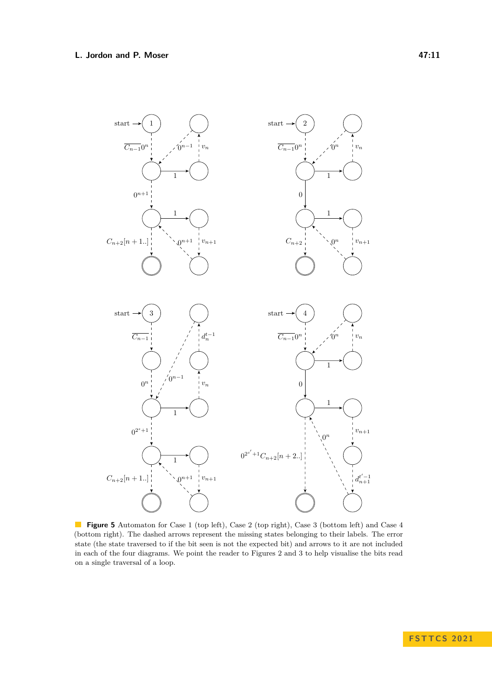<span id="page-10-0"></span>

**Figure 5** Automaton for Case 1 (top left), Case 2 (top right), Case 3 (bottom left) and Case 4 (bottom right). The dashed arrows represent the missing states belonging to their labels. The error state (the state traversed to if the bit seen is not the expected bit) and arrows to it are not included in each of the four diagrams. We point the reader to Figures [2](#page-5-0) and [3](#page-5-1) to help visualise the bits read on a single traversal of a loop.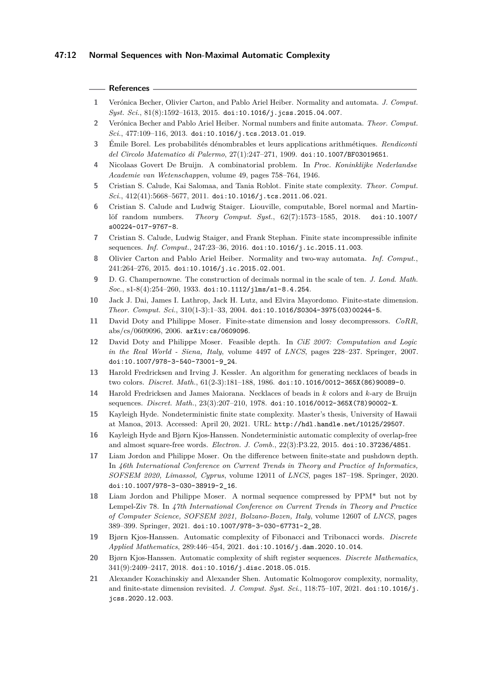### **References**

- <span id="page-11-6"></span>**1** Verónica Becher, Olivier Carton, and Pablo Ariel Heiber. Normality and automata. *J. Comput. Syst. Sci.*, 81(8):1592–1613, 2015. [doi:10.1016/j.jcss.2015.04.007](https://doi.org/10.1016/j.jcss.2015.04.007).
- <span id="page-11-5"></span>**2** Verónica Becher and Pablo Ariel Heiber. Normal numbers and finite automata. *Theor. Comput. Sci.*, 477:109–116, 2013. [doi:10.1016/j.tcs.2013.01.019](https://doi.org/10.1016/j.tcs.2013.01.019).
- <span id="page-11-2"></span>**3** Émile Borel. Les probabilités dénombrables et leurs applications arithmétiques. *Rendiconti del Circolo Matematico di Palermo*, 27(1):247–271, 1909. [doi:10.1007/BF03019651](https://doi.org/10.1007/BF03019651).
- <span id="page-11-17"></span>**4** Nicolaas Govert De Bruijn. A combinatorial problem. In *Proc. Koninklijke Nederlandse Academie van Wetenschappen*, volume 49, pages 758–764, 1946.
- <span id="page-11-8"></span>**5** Cristian S. Calude, Kai Salomaa, and Tania Roblot. Finite state complexity. *Theor. Comput. Sci.*, 412(41):5668–5677, 2011. [doi:10.1016/j.tcs.2011.06.021](https://doi.org/10.1016/j.tcs.2011.06.021).
- <span id="page-11-18"></span>**6** Cristian S. Calude and Ludwig Staiger. Liouville, computable, Borel normal and Martinlöf random numbers. *Theory Comput. Syst.*, 62(7):1573–1585, 2018. [doi:10.1007/](https://doi.org/10.1007/s00224-017-9767-8) [s00224-017-9767-8](https://doi.org/10.1007/s00224-017-9767-8).
- <span id="page-11-9"></span>**7** Cristian S. Calude, Ludwig Staiger, and Frank Stephan. Finite state incompressible infinite sequences. *Inf. Comput.*, 247:23–36, 2016. [doi:10.1016/j.ic.2015.11.003](https://doi.org/10.1016/j.ic.2015.11.003).
- <span id="page-11-7"></span>**8** Olivier Carton and Pablo Ariel Heiber. Normality and two-way automata. *Inf. Comput.*, 241:264–276, 2015. [doi:10.1016/j.ic.2015.02.001](https://doi.org/10.1016/j.ic.2015.02.001).
- <span id="page-11-15"></span>**9** D. G. Champernowne. The construction of decimals normal in the scale of ten. *J. Lond. Math. Soc.*, s1-8(4):254–260, 1933. [doi:10.1112/jlms/s1-8.4.254](https://doi.org/10.1112/jlms/s1-8.4.254).
- <span id="page-11-4"></span>**10** Jack J. Dai, James I. Lathrop, Jack H. Lutz, and Elvira Mayordomo. Finite-state dimension. *Theor. Comput. Sci.*, 310(1-3):1–33, 2004. [doi:10.1016/S0304-3975\(03\)00244-5](https://doi.org/10.1016/S0304-3975(03)00244-5).
- <span id="page-11-10"></span>**11** David Doty and Philippe Moser. Finite-state dimension and lossy decompressors. *CoRR*, abs/cs/0609096, 2006. [arXiv:cs/0609096](http://arxiv.org/abs/cs/0609096).
- <span id="page-11-11"></span>**12** David Doty and Philippe Moser. Feasible depth. In *CiE 2007: Computation and Logic in the Real World - Siena, Italy*, volume 4497 of *LNCS*, pages 228–237. Springer, 2007. [doi:10.1007/978-3-540-73001-9\\_24](https://doi.org/10.1007/978-3-540-73001-9_24).
- <span id="page-11-19"></span>**13** Harold Fredricksen and Irving J. Kessler. An algorithm for generating necklaces of beads in two colors. *Discret. Math.*, 61(2-3):181–188, 1986. [doi:10.1016/0012-365X\(86\)90089-0](https://doi.org/10.1016/0012-365X(86)90089-0).
- <span id="page-11-20"></span>**14** Harold Fredricksen and James Maiorana. Necklaces of beads in *k* colors and *k*-ary de Bruijn sequences. *Discret. Math.*, 23(3):207–210, 1978. [doi:10.1016/0012-365X\(78\)90002-X](https://doi.org/10.1016/0012-365X(78)90002-X).
- <span id="page-11-0"></span>**15** Kayleigh Hyde. Nondeterministic finite state complexity. Master's thesis, University of Hawaii at Manoa, 2013. Accessed: April 20, 2021. URL: <http://hdl.handle.net/10125/29507>.
- <span id="page-11-14"></span>**16** Kayleigh Hyde and Bjørn Kjos-Hanssen. Nondeterministic automatic complexity of overlap-free and almost square-free words. *Electron. J. Comb.*, 22(3):P3.22, 2015. [doi:10.37236/4851](https://doi.org/10.37236/4851).
- <span id="page-11-12"></span>**17** Liam Jordon and Philippe Moser. On the difference between finite-state and pushdown depth. In *46th International Conference on Current Trends in Theory and Practice of Informatics, SOFSEM 2020, Limassol, Cyprus*, volume 12011 of *LNCS*, pages 187–198. Springer, 2020. [doi:10.1007/978-3-030-38919-2\\_16](https://doi.org/10.1007/978-3-030-38919-2_16).
- <span id="page-11-16"></span>**18** Liam Jordon and Philippe Moser. A normal sequence compressed by PPM\* but not by Lempel-Ziv 78. In *47th International Conference on Current Trends in Theory and Practice of Computer Science, SOFSEM 2021, Bolzano-Bozen, Italy*, volume 12607 of *LNCS*, pages 389–399. Springer, 2021. [doi:10.1007/978-3-030-67731-2\\_28](https://doi.org/10.1007/978-3-030-67731-2_28).
- <span id="page-11-1"></span>**19** Bjørn Kjos-Hanssen. Automatic complexity of Fibonacci and Tribonacci words. *Discrete Applied Mathematics*, 289:446–454, 2021. [doi:10.1016/j.dam.2020.10.014](https://doi.org/10.1016/j.dam.2020.10.014).
- <span id="page-11-13"></span>**20** Bjørn Kjos-Hanssen. Automatic complexity of shift register sequences. *Discrete Mathematics*, 341(9):2409–2417, 2018. [doi:10.1016/j.disc.2018.05.015](https://doi.org/10.1016/j.disc.2018.05.015).
- <span id="page-11-3"></span>**21** Alexander Kozachinskiy and Alexander Shen. Automatic Kolmogorov complexity, normality, and finite-state dimension revisited. *J. Comput. Syst. Sci.*, 118:75–107, 2021. [doi:10.1016/j.](https://doi.org/10.1016/j.jcss.2020.12.003) [jcss.2020.12.003](https://doi.org/10.1016/j.jcss.2020.12.003).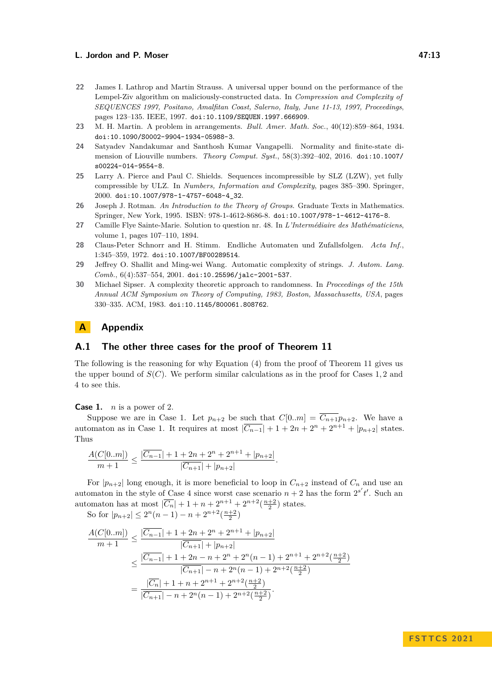- <span id="page-12-3"></span>**22** James I. Lathrop and Martin Strauss. A universal upper bound on the performance of the Lempel-Ziv algorithm on maliciously-constructed data. In *Compression and Complexity of SEQUENCES 1997, Positano, Amalfitan Coast, Salerno, Italy, June 11-13, 1997, Proceedings*, pages 123–135. IEEE, 1997. [doi:10.1109/SEQUEN.1997.666909](https://doi.org/10.1109/SEQUEN.1997.666909).
- <span id="page-12-7"></span>**23** M. H. Martin. A problem in arrangements. *Bull. Amer. Math. Soc.*, 40(12):859–864, 1934. [doi:10.1090/S0002-9904-1934-05988-3](https://doi.org/10.1090/S0002-9904-1934-05988-3).
- <span id="page-12-6"></span>**24** Satyadev Nandakumar and Santhosh Kumar Vangapelli. Normality and finite-state dimension of Liouville numbers. *Theory Comput. Syst.*, 58(3):392–402, 2016. [doi:10.1007/](https://doi.org/10.1007/s00224-014-9554-8) [s00224-014-9554-8](https://doi.org/10.1007/s00224-014-9554-8).
- <span id="page-12-4"></span>**25** Larry A. Pierce and Paul C. Shields. Sequences incompressible by SLZ (LZW), yet fully compressible by ULZ. In *Numbers, Information and Complexity*, pages 385–390. Springer, 2000. [doi:10.1007/978-1-4757-6048-4\\_32](https://doi.org/10.1007/978-1-4757-6048-4_32).
- <span id="page-12-8"></span>**26** Joseph J. Rotman. *An Introduction to the Theory of Groups*. Graduate Texts in Mathematics. Springer, New York, 1995. ISBN: 978-1-4612-8686-8. [doi:10.1007/978-1-4612-4176-8](https://doi.org/10.1007/978-1-4612-4176-8).
- <span id="page-12-5"></span>**27** Camille Flye Sainte-Marie. Solution to question nr. 48. In *L'Intermédiaire des Mathématiciens*, volume 1, pages 107–110, 1894.
- <span id="page-12-2"></span>**28** Claus-Peter Schnorr and H. Stimm. Endliche Automaten und Zufallsfolgen. *Acta Inf.*, 1:345–359, 1972. [doi:10.1007/BF00289514](https://doi.org/10.1007/BF00289514).
- <span id="page-12-0"></span>**29** Jeffrey O. Shallit and Ming-wei Wang. Automatic complexity of strings. *J. Autom. Lang. Comb.*, 6(4):537–554, 2001. [doi:10.25596/jalc-2001-537](https://doi.org/10.25596/jalc-2001-537).
- <span id="page-12-1"></span>**30** Michael Sipser. A complexity theoretic approach to randomness. In *Proceedings of the 15th Annual ACM Symposium on Theory of Computing, 1983, Boston, Massachusetts, USA*, pages 330–335. ACM, 1983. [doi:10.1145/800061.808762](https://doi.org/10.1145/800061.808762).

# **A Appendix**

# **A.1 The other three cases for the proof of Theorem [11](#page-6-0)**

The following is the reasoning for why Equation [\(4\)](#page-8-1) from the proof of Theorem [11](#page-6-0) gives us the upper bound of *S*(*C*). We perform similar calculations as in the proof for Cases 1*,* 2 and 4 to see this.

**Case 1.** *n* is a power of 2.

Suppose we are in Case 1. Let  $p_{n+2}$  be such that  $C[0..m] = \overline{C_{n+1}}p_{n+2}$ . We have a automaton as in Case 1. It requires at most  $|\overline{C_{n-1}}| + 1 + 2n + 2^n + 2^{n+1} + |p_{n+2}|$  states. Thus

$$
\frac{A(C[0..m])}{m+1} \le \frac{|\overline{C_{n-1}}| + 1 + 2n + 2^n + 2^{n+1} + |p_{n+2}|}{|\overline{C_{n+1}}| + |p_{n+2}|}.
$$

For  $|p_{n+2}|$  long enough, it is more beneficial to loop in  $C_{n+2}$  instead of  $C_n$  and use an automaton in the style of Case 4 since worst case scenario  $n + 2$  has the form  $2^{s'}t'$ . Such an automaton has at most  $|\overline{C_n}| + 1 + n + 2^{n+1} + 2^{n+2}(\frac{n+2}{2})$  states. So for  $|p_{n+2}| \leq 2^n(n-1) - n + 2^{n+2}(\frac{n+2}{2})$ 

$$
\frac{A(C[0..m])}{m+1} \le \frac{|\overline{C_{n-1}}| + 1 + 2n + 2^n + 2^{n+1} + |p_{n+2}|}{|\overline{C_{n+1}}| + |p_{n+2}|}
$$
  
\n
$$
\le \frac{|\overline{C_{n-1}}| + 1 + 2n - n + 2^n + 2^n(n-1) + 2^{n+1} + 2^{n+2}(\frac{n+2}{2})}{|\overline{C_{n+1}}| - n + 2^n(n-1) + 2^{n+2}(\frac{n+2}{2})}
$$
  
\n
$$
= \frac{|\overline{C_n}| + 1 + n + 2^{n+1} + 2^{n+2}(\frac{n+2}{2})}{|\overline{C_{n+1}}| - n + 2^n(n-1) + 2^{n+2}(\frac{n+2}{2})}.
$$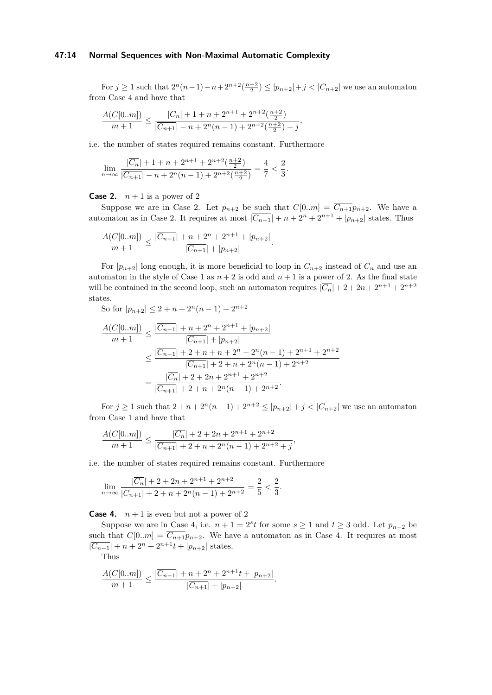#### **47:14 Normal Sequences with Non-Maximal Automatic Complexity**

For *j* ≥ 1 such that  $2^{n}(n-1)-n+2^{n+2}(\frac{n+2}{2})$  ≤  $|p_{n+2}|+j$  <  $|C_{n+2}|$  we use an automaton from Case 4 and have that

$$
\frac{A(C[0..m])}{m+1}\leq\frac{|\overline{C_n}|+1+n+2^{n+1}+2^{n+2}(\frac{n+2}{2})}{|\overline{C_{n+1}}|-n+2^n(n-1)+2^{n+2}(\frac{n+2}{2})+j},
$$

i.e. the number of states required remains constant. Furthermore

$$
\lim_{n \to \infty} \frac{|\overline{C_n}| + 1 + n + 2^{n+1} + 2^{n+2} \left(\frac{n+2}{2}\right)}{|\overline{C_{n+1}}| - n + 2^n (n-1) + 2^{n+2} \left(\frac{n+2}{2}\right)} = \frac{4}{7} < \frac{2}{3}.
$$

#### **Case 2.**  $n+1$  is a power of 2

Suppose we are in Case 2. Let  $p_{n+2}$  be such that  $C[0..m] = \overline{C_{n+1}}p_{n+2}$ . We have a automaton as in Case 2. It requires at most  $|\overline{C_{n-1}}| + n + 2^n + 2^{n+1} + |p_{n+2}|$  states. Thus

$$
\frac{A(C[0..m])}{m+1} \le \frac{|\overline{C_{n-1}}|+n+2^n+2^{n+1}+|p_{n+2}|}{|\overline{C_{n+1}}|+|p_{n+2}|}.
$$

For  $|p_{n+2}|$  long enough, it is more beneficial to loop in  $C_{n+2}$  instead of  $C_n$  and use an automaton in the style of Case 1 as  $n + 2$  is odd and  $n + 1$  is a power of 2. As the final state will be contained in the second loop, such an automaton requires  $|\overline{C_n}| + 2 + 2n + 2^{n+1} + 2^{n+2}$ states.

So for  $|p_{n+2}| \leq 2 + n + 2^n(n-1) + 2^{n+2}$ 

$$
\frac{A(C[0..m])}{m+1} \le \frac{|\overline{C_{n-1}}| + n + 2^n + 2^{n+1} + |p_{n+2}|}{|\overline{C_{n+1}}| + |p_{n+2}|}
$$
  

$$
\le \frac{|\overline{C_{n-1}}| + 2 + n + n + 2^n + 2^n(n-1) + 2^{n+1} + 2^{n+2}}{|\overline{C_{n+1}}| + 2 + n + 2^n(n-1) + 2^{n+2}}
$$
  

$$
= \frac{|\overline{C_n}| + 2 + 2n + 2^{n+1} + 2^{n+2}}{|\overline{C_{n+1}}| + 2 + n + 2^n(n-1) + 2^{n+2}}.
$$

For  $j \geq 1$  such that  $2 + n + 2^n(n-1) + 2^{n+2} \leq |p_{n+2}| + j < |C_{n+2}|$  we use an automaton from Case 1 and have that

$$
\frac{A(C[0..m])}{m+1} \le \frac{|\overline{C_n}| + 2 + 2n + 2^{n+1} + 2^{n+2}}{|\overline{C_{n+1}}| + 2 + n + 2^n(n-1) + 2^{n+2} + j},
$$

i.e. the number of states required remains constant. Furthermore

$$
\lim_{n \to \infty} \frac{|\overline{C_n}| + 2 + 2n + 2^{n+1} + 2^{n+2}}{|\overline{C_{n+1}}| + 2 + n + 2^n(n-1) + 2^{n+2}} = \frac{2}{5} < \frac{2}{3}.
$$

**Case 4.**  $n+1$  is even but not a power of 2

Suppose we are in Case 4, i.e.  $n + 1 = 2<sup>s</sup>t$  for some  $s \ge 1$  and  $t \ge 3$  odd. Let  $p_{n+2}$  be such that  $C[0..m] = \overline{C_{n+1}} p_{n+2}$ . We have a automaton as in Case 4. It requires at most  $|\overline{C_{n-1}}| + n + 2^n + 2^{n+1}t + |p_{n+2}|$  states.

Thus

$$
\frac{A(C[0..m])}{m+1} \le \frac{|\overline{C_{n-1}}|+n+2^n+2^{n+1}t+|p_{n+2}|}{|\overline{C_{n+1}}|+|p_{n+2}|}.
$$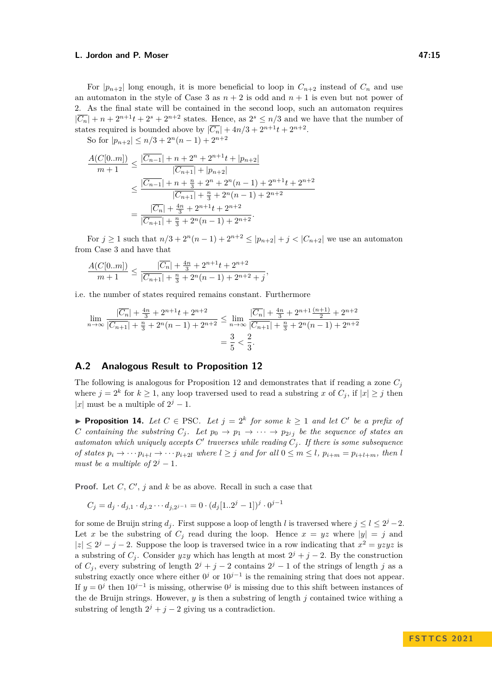For  $|p_{n+2}|$  long enough, it is more beneficial to loop in  $C_{n+2}$  instead of  $C_n$  and use an automaton in the style of Case 3 as  $n + 2$  is odd and  $n + 1$  is even but not power of 2. As the final state will be contained in the second loop, such an automaton requires  $|\overline{C_n}| + n + 2^{n+1}t + 2^s + 2^{n+2}$  states. Hence, as  $2^s \leq n/3$  and we have that the number of states required is bounded above by  $|\overline{C_n}| + 4n/3 + 2^{n+1}t + 2^{n+2}$ .

So for  $|p_{n+2}| \leq n/3 + 2^n(n-1) + 2^{n+2}$ 

$$
\frac{A(C[0..m])}{m+1} \le \frac{|\overline{C_{n-1}}| + n + 2^{n} + 2^{n+1}t + |p_{n+2}|}{|\overline{C_{n+1}}| + |p_{n+2}|}
$$
  

$$
\le \frac{|\overline{C_{n-1}}| + n + \frac{n}{3} + 2^{n} + 2^{n}(n-1) + 2^{n+1}t + 2^{n+2}}{|\overline{C_{n+1}}| + \frac{n}{3} + 2^{n}(n-1) + 2^{n+2}}
$$
  

$$
= \frac{|\overline{C_n}| + \frac{4n}{3} + 2^{n+1}t + 2^{n+2}}{|\overline{C_{n+1}}| + \frac{n}{3} + 2^{n}(n-1) + 2^{n+2}}.
$$

For  $j \geq 1$  such that  $n/3 + 2^n(n-1) + 2^{n+2} \leq |p_{n+2}| + j < |C_{n+2}|$  we use an automaton from Case 3 and have that

$$
\frac{A(C[0..m])}{m+1}\leq \frac{|\overline{C_n}|+\frac{4n}{3}+2^{n+1}t+2^{n+2}}{|\overline{C_{n+1}}|+\frac{n}{3}+2^n(n-1)+2^{n+2}+j},
$$

i.e. the number of states required remains constant. Furthermore

$$
\lim_{n \to \infty} \frac{|\overline{C_n}| + \frac{4n}{3} + 2^{n+1}t + 2^{n+2}}{|\overline{C_{n+1}}| + \frac{n}{3} + 2^n(n-1) + 2^{n+2}} \le \lim_{n \to \infty} \frac{|\overline{C_n}| + \frac{4n}{3} + 2^{n+1}\frac{(n+1)}{2} + 2^{n+2}}{|\overline{C_{n+1}}| + \frac{n}{3} + 2^n(n-1) + 2^{n+2}}
$$

$$
= \frac{3}{5} < \frac{2}{3}.
$$

# **A.2 Analogous Result to Proposition [12](#page-9-2)**

The following is analogous for Proposition [12](#page-9-2) and demonstrates that if reading a zone *C<sup>j</sup>* where  $j = 2^k$  for  $k \ge 1$ , any loop traversed used to read a substring *x* of  $C_j$ , if  $|x| \ge j$  then |*x*| must be a multiple of  $2^j - 1$ .

▶ **Proposition 14.** Let  $C \in \text{PSC}$ . Let  $j = 2^k$  for some  $k \ge 1$  and let  $C'$  be a prefix of *C containing the substring*  $C_j$ . Let  $p_0 \to p_1 \to \cdots \to p_{2^j j}$  *be the sequence of states an automaton which uniquely accepts*  $C'$  traverses while reading  $C_j$ . If there is some subsequence of states  $p_i \to \cdots p_{i+l} \to \cdots p_{i+2l}$  where  $l \geq j$  and for all  $0 \leq m \leq l$ ,  $p_{i+m} = p_{i+l+m}$ , then l *must be a multiple of*  $2^j - 1$ *.* 

**Proof.** Let  $C$ ,  $C'$ ,  $j$  and  $k$  be as above. Recall in such a case that

$$
C_j = d_j \cdot d_{j,1} \cdot d_{j,2} \cdots d_{j,2^{j-1}} = 0 \cdot (d_j [1..2^j - 1])^j \cdot 0^{j-1}
$$

for some de Bruijn string  $d_j$ . First suppose a loop of length *l* is traversed where  $j \leq l \leq 2^j - 2$ . Let *x* be the substring of  $C_i$  read during the loop. Hence  $x = yz$  where  $|y| = j$  and  $|z| \leq 2^{j} - j - 2$ . Suppose the loop is traversed twice in a row indicating that  $x^{2} = yzyz$  is a substring of  $C_j$ . Consider *yzy* which has length at most  $2^j + j - 2$ . By the construction of  $C_j$ , every substring of length  $2^j + j - 2$  contains  $2^j - 1$  of the strings of length *j* as a substring exactly once where either  $0^j$  or  $10^{j-1}$  is the remaining string that does not appear. If  $y = 0^j$  then  $10^{j-1}$  is missing, otherwise  $0^j$  is missing due to this shift between instances of the de Bruijn strings. However, *y* is then a substring of length *j* contained twice withing a substring of length  $2^{j} + j - 2$  giving us a contradiction.